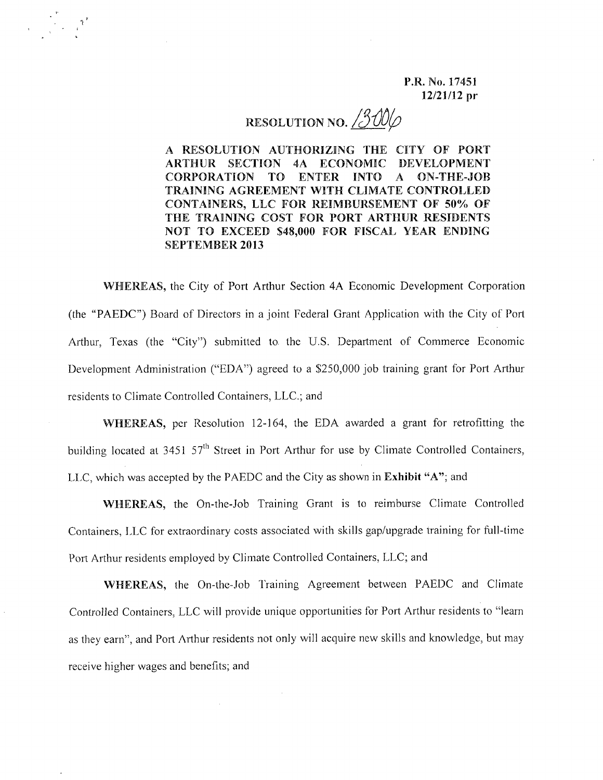P.R. No. 17451 12/21/12 pr

## RESOLUTION NO. <u>/300</u>

 $\tilde{r}$ <sup>,</sup>

A RESOLUTION AUTHORIZING THE CITY OF PORT ARTHUR SECTION 4A ECONOMIC DEVELOPMENT CORPORATION TO ENTER INTO A ON-THE-JOB TRAINING AGREEMENT WITH CLIMATE CONTROLLED CONTAINERS, LLC FOR REIMBURSEMENT OF 50% OF THE TRAINING COST FOR PORT ARTHUR RESIDENTS NOT TO EXCEED \$48,000 FOR FISCAL YEAR ENDING SEPTEMBER 2013

WHEREAS, the City of Port Arthur Section 4A Economic Development Corporation (the "PAEDC") Board of Directors in a joint Federal Grant Application with the City of Port Arthur, Texas (the "City") submitted to the U.S. Department of Commerce Economic Development Administration ("EDN') agreed to a *\$2S0,000* job training grant for Port Arthur residents to Climate Controlled Containers, LLC.; and

WHEREAS, per Resolution 12-164, the EDA awarded a grant for retrofitting the building located at 3451 57<sup>th</sup> Street in Port Arthur for use by Climate Controlled Containers LLC, which was accepted by the PAEDC and the City as shown in Exhibit "A"; and

WHEREAS, the On-the-Job Training Grant is to reimburse Climate Controlled Containers, LLC for extraordinary costs associated with skilJs gap/upgrade training for fulJ-time Port Arthur residents employed by Climate Controlled Containers, LLC; and

WHEREAS, the On-the-Job Training Agreement between PAEDC and Climate Controlled Containers, LLC will provide unique opportunities for Port Arthur residents to "Jearn as they earn", and Port Arthur residents not only will acquire new skills and knowledge, but may receive higher wages and benefits; and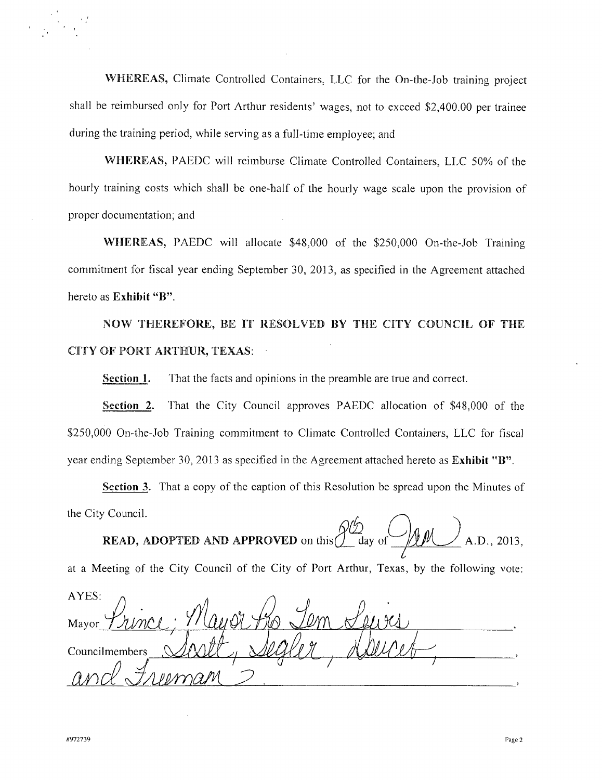WHEREAS, Climate Controlled Containers, LLC for the On-the-Job training project shall be reimbursed only for Port Arthur residents' wages, not to exceed \$2,400.00 per trainee during the training period, while serving as a full-time employee; and

WHEREAS, PAEDC will reimburse Climate Controlled Containers, LLC 50% of the hourly training costs which shall be one-half of the hourly wage scale upon the provision of proper documentation; and

WHEREAS, PAEDC will allocate \$48,000 of the \$250,000 On-the-Job Training commitment for fiscal year ending September 30, 2013, as specified in the Agreement attached hereto as Exhibit "B".

NOW THEREFORE, BE IT RESOLVED BY THE CITY COUNCIL OF THE CITY OF PORT ARTHUR, TEXAS:

Section **1.** That the facts and opinions in the preamble are true and correct.

Section 2. That the City Council approves PAEDC allocation of \$48,000 of the \$250,000 On-the-Job Training commitment to Climate Controlled Containers, LLC for fiscal year ending September 30, 2013 as specified in the Agreement attached hereto as Exhibit "B".

Section 3. That a copy of the caption of this Resolution be spread upon the Minutes of

the City Council.  $\Omega/\psi$ **READ, ADOPTED AND APPROVED** on this  $\frac{d}{dx}$  day of  $\frac{d}{dx}$  A.D., 2013.

at a Meeting of the City Council of the City of Port Arthur, Texas, by the following vote:

AYES: Mavor **Councilmembers** *anr1JllJ1/YY)alYl <sup>~</sup>*

'.'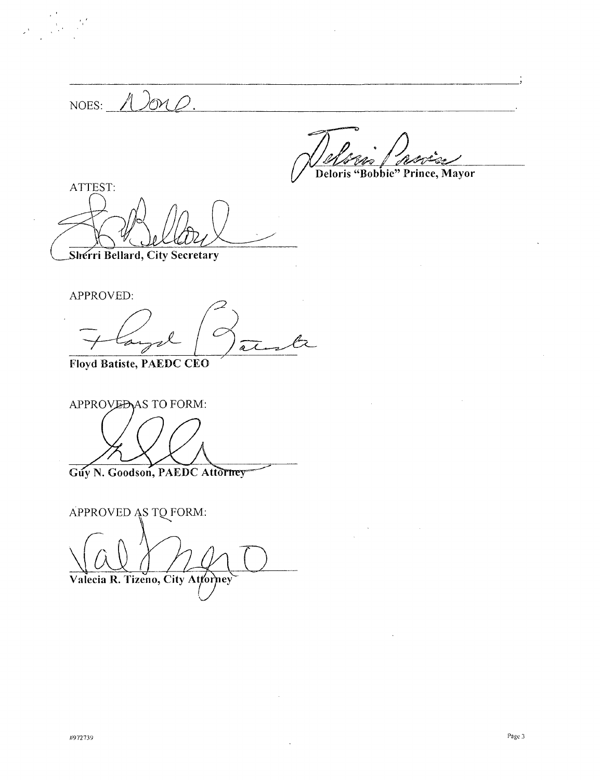NOES: 12m Deloris "Bobbie" Prince, Mayor

ATTEST:

Sherri Bellard, City Secretary

APPROVED:

 $\lambda$ 

Floyd Batiste, PAEDC CEO

APPROVEDAS TO FORM: Guy N. Goodson, PAEDC Attorney

APPROVED AS TQ FORM: Valecia R. Tizeno, City Attorney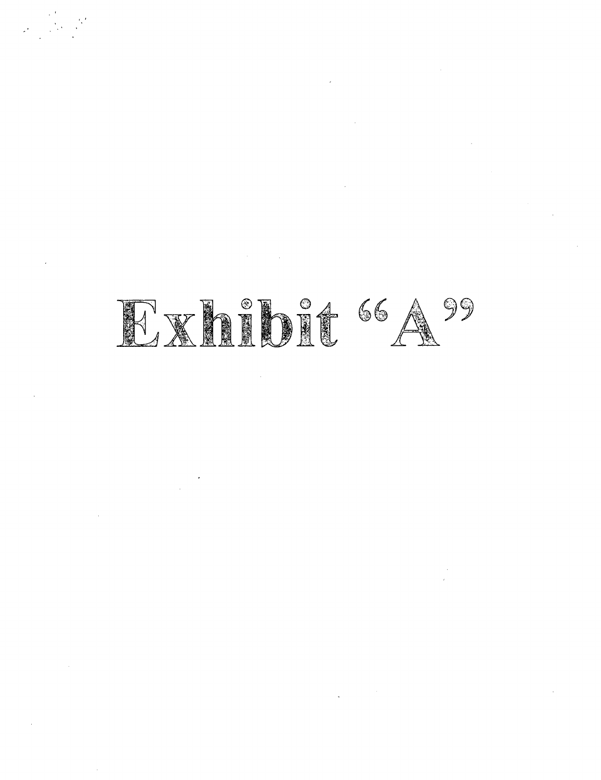## EXhibit 66 A 99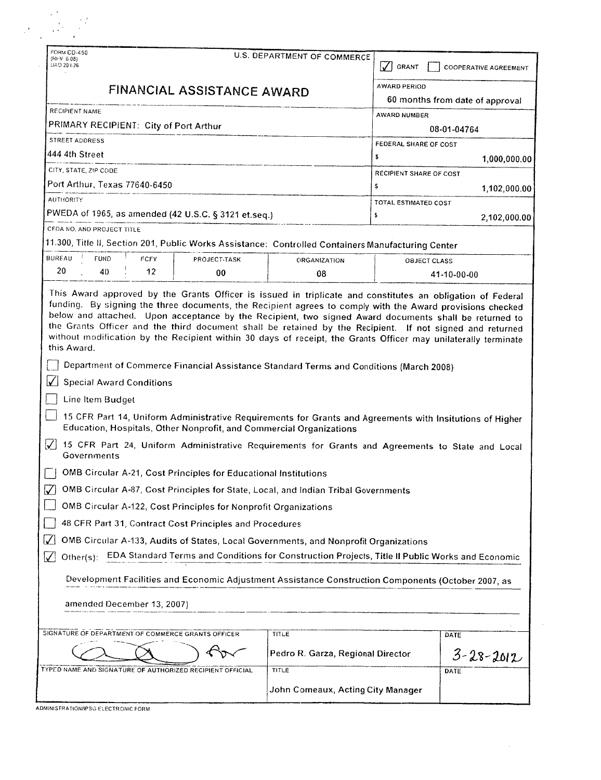| U.S. DEPARTMENT OF COMMERCE<br>FINANCIAL ASSISTANCE AWARD           | $\sqrt{ }$ GRANT<br><b>AWARD PERIOD</b>                         | <b>COOPERATIVE AGREEMENT</b>                                                                                                                                                                                                                                                                                                                                                                                                                                                                                                                                                                                                                                                                                                                                                                                                                                                                                                                                                                                                                                                                                                                                                                                                                                                                                                                                                                                                                                                |  |
|---------------------------------------------------------------------|-----------------------------------------------------------------|-----------------------------------------------------------------------------------------------------------------------------------------------------------------------------------------------------------------------------------------------------------------------------------------------------------------------------------------------------------------------------------------------------------------------------------------------------------------------------------------------------------------------------------------------------------------------------------------------------------------------------------------------------------------------------------------------------------------------------------------------------------------------------------------------------------------------------------------------------------------------------------------------------------------------------------------------------------------------------------------------------------------------------------------------------------------------------------------------------------------------------------------------------------------------------------------------------------------------------------------------------------------------------------------------------------------------------------------------------------------------------------------------------------------------------------------------------------------------------|--|
|                                                                     |                                                                 |                                                                                                                                                                                                                                                                                                                                                                                                                                                                                                                                                                                                                                                                                                                                                                                                                                                                                                                                                                                                                                                                                                                                                                                                                                                                                                                                                                                                                                                                             |  |
|                                                                     |                                                                 |                                                                                                                                                                                                                                                                                                                                                                                                                                                                                                                                                                                                                                                                                                                                                                                                                                                                                                                                                                                                                                                                                                                                                                                                                                                                                                                                                                                                                                                                             |  |
|                                                                     |                                                                 | 60 months from date of approval                                                                                                                                                                                                                                                                                                                                                                                                                                                                                                                                                                                                                                                                                                                                                                                                                                                                                                                                                                                                                                                                                                                                                                                                                                                                                                                                                                                                                                             |  |
|                                                                     | AWARD NUMBER                                                    |                                                                                                                                                                                                                                                                                                                                                                                                                                                                                                                                                                                                                                                                                                                                                                                                                                                                                                                                                                                                                                                                                                                                                                                                                                                                                                                                                                                                                                                                             |  |
| PRIMARY RECIPIENT: City of Port Arthur<br>STREET ADDRESS            |                                                                 | 08-01-04764                                                                                                                                                                                                                                                                                                                                                                                                                                                                                                                                                                                                                                                                                                                                                                                                                                                                                                                                                                                                                                                                                                                                                                                                                                                                                                                                                                                                                                                                 |  |
| 444 4th Street                                                      |                                                                 | FEDERAL SHARE OF COST                                                                                                                                                                                                                                                                                                                                                                                                                                                                                                                                                                                                                                                                                                                                                                                                                                                                                                                                                                                                                                                                                                                                                                                                                                                                                                                                                                                                                                                       |  |
| CITY, STATE, ZIP CODE                                               |                                                                 | 1,000,000.00                                                                                                                                                                                                                                                                                                                                                                                                                                                                                                                                                                                                                                                                                                                                                                                                                                                                                                                                                                                                                                                                                                                                                                                                                                                                                                                                                                                                                                                                |  |
| Port Arthur, Texas 77640-6450                                       |                                                                 |                                                                                                                                                                                                                                                                                                                                                                                                                                                                                                                                                                                                                                                                                                                                                                                                                                                                                                                                                                                                                                                                                                                                                                                                                                                                                                                                                                                                                                                                             |  |
| <b>AUTHORITY</b>                                                    |                                                                 | 1,102,000.00                                                                                                                                                                                                                                                                                                                                                                                                                                                                                                                                                                                                                                                                                                                                                                                                                                                                                                                                                                                                                                                                                                                                                                                                                                                                                                                                                                                                                                                                |  |
| PWEDA of 1965, as amended (42 U.S.C. § 3121 et.seq.)                |                                                                 | 2,102,000.00                                                                                                                                                                                                                                                                                                                                                                                                                                                                                                                                                                                                                                                                                                                                                                                                                                                                                                                                                                                                                                                                                                                                                                                                                                                                                                                                                                                                                                                                |  |
| CFDA NO. AND PROJECT TITLE                                          |                                                                 |                                                                                                                                                                                                                                                                                                                                                                                                                                                                                                                                                                                                                                                                                                                                                                                                                                                                                                                                                                                                                                                                                                                                                                                                                                                                                                                                                                                                                                                                             |  |
|                                                                     |                                                                 |                                                                                                                                                                                                                                                                                                                                                                                                                                                                                                                                                                                                                                                                                                                                                                                                                                                                                                                                                                                                                                                                                                                                                                                                                                                                                                                                                                                                                                                                             |  |
| <b>ORGANIZATION</b>                                                 |                                                                 |                                                                                                                                                                                                                                                                                                                                                                                                                                                                                                                                                                                                                                                                                                                                                                                                                                                                                                                                                                                                                                                                                                                                                                                                                                                                                                                                                                                                                                                                             |  |
| 08                                                                  |                                                                 | 41-10-00-00                                                                                                                                                                                                                                                                                                                                                                                                                                                                                                                                                                                                                                                                                                                                                                                                                                                                                                                                                                                                                                                                                                                                                                                                                                                                                                                                                                                                                                                                 |  |
| Education, Hospitals, Other Nonprofit, and Commercial Organizations |                                                                 |                                                                                                                                                                                                                                                                                                                                                                                                                                                                                                                                                                                                                                                                                                                                                                                                                                                                                                                                                                                                                                                                                                                                                                                                                                                                                                                                                                                                                                                                             |  |
|                                                                     |                                                                 |                                                                                                                                                                                                                                                                                                                                                                                                                                                                                                                                                                                                                                                                                                                                                                                                                                                                                                                                                                                                                                                                                                                                                                                                                                                                                                                                                                                                                                                                             |  |
|                                                                     |                                                                 |                                                                                                                                                                                                                                                                                                                                                                                                                                                                                                                                                                                                                                                                                                                                                                                                                                                                                                                                                                                                                                                                                                                                                                                                                                                                                                                                                                                                                                                                             |  |
|                                                                     |                                                                 |                                                                                                                                                                                                                                                                                                                                                                                                                                                                                                                                                                                                                                                                                                                                                                                                                                                                                                                                                                                                                                                                                                                                                                                                                                                                                                                                                                                                                                                                             |  |
| OMB Circular A-122, Cost Principles for Nonprofit Organizations     |                                                                 |                                                                                                                                                                                                                                                                                                                                                                                                                                                                                                                                                                                                                                                                                                                                                                                                                                                                                                                                                                                                                                                                                                                                                                                                                                                                                                                                                                                                                                                                             |  |
| 48 CFR Part 31, Contract Cost Principles and Procedures             |                                                                 |                                                                                                                                                                                                                                                                                                                                                                                                                                                                                                                                                                                                                                                                                                                                                                                                                                                                                                                                                                                                                                                                                                                                                                                                                                                                                                                                                                                                                                                                             |  |
|                                                                     |                                                                 |                                                                                                                                                                                                                                                                                                                                                                                                                                                                                                                                                                                                                                                                                                                                                                                                                                                                                                                                                                                                                                                                                                                                                                                                                                                                                                                                                                                                                                                                             |  |
|                                                                     |                                                                 |                                                                                                                                                                                                                                                                                                                                                                                                                                                                                                                                                                                                                                                                                                                                                                                                                                                                                                                                                                                                                                                                                                                                                                                                                                                                                                                                                                                                                                                                             |  |
|                                                                     |                                                                 |                                                                                                                                                                                                                                                                                                                                                                                                                                                                                                                                                                                                                                                                                                                                                                                                                                                                                                                                                                                                                                                                                                                                                                                                                                                                                                                                                                                                                                                                             |  |
|                                                                     |                                                                 |                                                                                                                                                                                                                                                                                                                                                                                                                                                                                                                                                                                                                                                                                                                                                                                                                                                                                                                                                                                                                                                                                                                                                                                                                                                                                                                                                                                                                                                                             |  |
| TITLE                                                               |                                                                 | DATE                                                                                                                                                                                                                                                                                                                                                                                                                                                                                                                                                                                                                                                                                                                                                                                                                                                                                                                                                                                                                                                                                                                                                                                                                                                                                                                                                                                                                                                                        |  |
|                                                                     |                                                                 |                                                                                                                                                                                                                                                                                                                                                                                                                                                                                                                                                                                                                                                                                                                                                                                                                                                                                                                                                                                                                                                                                                                                                                                                                                                                                                                                                                                                                                                                             |  |
|                                                                     |                                                                 |                                                                                                                                                                                                                                                                                                                                                                                                                                                                                                                                                                                                                                                                                                                                                                                                                                                                                                                                                                                                                                                                                                                                                                                                                                                                                                                                                                                                                                                                             |  |
| Pedro R. Garza, Regional Director<br>TITLE                          |                                                                 | $3 - 28 - 2012$<br>DATE                                                                                                                                                                                                                                                                                                                                                                                                                                                                                                                                                                                                                                                                                                                                                                                                                                                                                                                                                                                                                                                                                                                                                                                                                                                                                                                                                                                                                                                     |  |
|                                                                     | OMB Circular A-21, Cost Principles for Educational Institutions | \$<br>RECIPIENT SHARE OF COST<br>s<br>TOTAL ESTIMATED COST<br>\$<br>11.300, Title II, Section 201, Public Works Assistance: Controlled Containers Manufacturing Center<br><b>OBJECT CLASS</b><br>This Award approved by the Grants Officer is issued in triplicate and constitutes an obligation of Federal<br>funding. By signing the three documents, the Recipient agrees to comply with the Award provisions checked<br>below and attached. Upon acceptance by the Recipient, two signed Award documents shall be returned to<br>the Grants Officer and the third document shall be retained by the Recipient. If not signed and returned<br>without modification by the Recipient within 30 days of receipt, the Grants Officer may unilaterally terminate<br>Department of Commerce Financial Assistance Standard Terms and Conditions (March 2008)<br>15 CFR Part 14, Uniform Administrative Requirements for Grants and Agreements with Insitutions of Higher<br>15 CFR Part 24, Uniform Administrative Requirements for Grants and Agreements to State and Local<br>OMB Circular A-87, Cost Principles for State, Local, and Indian Tribal Governments<br>OMB Circular A-133, Audits of States, Local Governments, and Nonprofit Organizations<br>Other(s): EDA Standard Terms and Conditions for Construction Projects, Title II Public Works and Economic<br>Development Facilities and Economic Adjustment Assistance Construction Components (October 2007, as |  |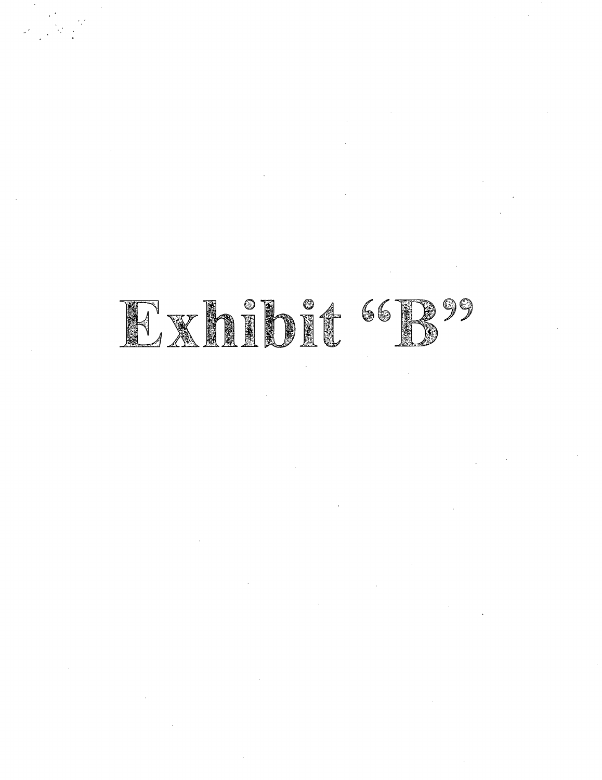## Exhibit "B"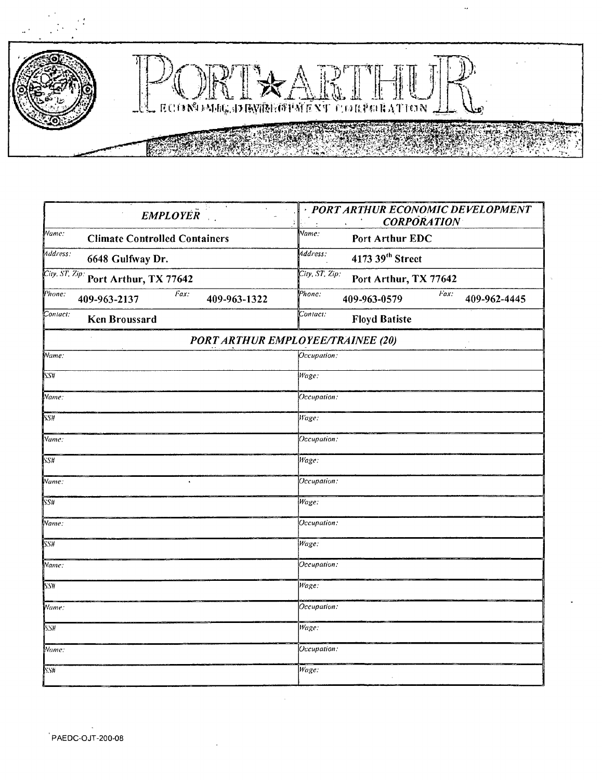

ů,

| <b>EMPLOYER</b>                                                         | · PORT ARTHUR ECONOMIC DEVELOPMENT<br><b>CORPORATION</b>                                                        |  |  |
|-------------------------------------------------------------------------|-----------------------------------------------------------------------------------------------------------------|--|--|
| Name:<br><b>Climate Controlled Containers</b>                           | Name:<br>Port Arthur EDC<br>Address:<br>4173 39 <sup>th</sup> Street<br>City, ST, Zip:<br>Port Arthur, TX 77642 |  |  |
| Address:<br>6648 Gulfway Dr.<br>City, ST. Zip:<br>Port Arthur, TX 77642 |                                                                                                                 |  |  |
|                                                                         |                                                                                                                 |  |  |
| Contact:<br><b>Ken Broussard</b>                                        | Contact:<br><b>Floyd Batiste</b>                                                                                |  |  |
|                                                                         | <b>PORT ARTHUR EMPLOYEE/TRAINEE (20)</b>                                                                        |  |  |
| Name:                                                                   | Occupation:                                                                                                     |  |  |
| SSH                                                                     | Wage:                                                                                                           |  |  |
| Name:                                                                   | Occupation:                                                                                                     |  |  |
| SS#                                                                     | Wage:                                                                                                           |  |  |
| Name:                                                                   | Occupation:                                                                                                     |  |  |
| SS#                                                                     | Wage:                                                                                                           |  |  |
| Name:                                                                   | Occupation:                                                                                                     |  |  |
| <b>SS#</b>                                                              | Wage:                                                                                                           |  |  |
| Name:                                                                   | Occupation:                                                                                                     |  |  |
| $\overline{\text{SSH}}$                                                 | Wage:                                                                                                           |  |  |
| Name:                                                                   | Occupation:                                                                                                     |  |  |
| <b>SS#</b>                                                              | Wage:                                                                                                           |  |  |
| Name:                                                                   | Occupation:                                                                                                     |  |  |
| <b>SS#</b>                                                              | Wage:                                                                                                           |  |  |
| Name:                                                                   | Occupation:                                                                                                     |  |  |
| <b>SS#</b>                                                              | Wage:                                                                                                           |  |  |
|                                                                         |                                                                                                                 |  |  |

 $\epsilon$  ,  $\epsilon$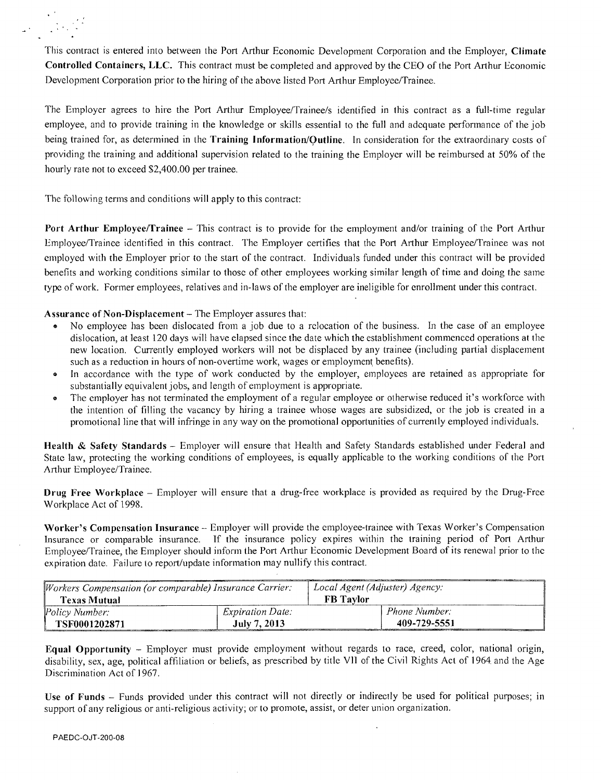

This contract is entered into between the Port Arthur Economic Development Corporation and the Employer, Climate Controlled Containers, LLC. This contract must be completed and approved by the CEO of the Port Arthur Economic Development Corporation prior to the hiring of the above listed Port Arthur Employee/Trainee.

The Employer agrees to hire the Port Arthur Employee/Trainee/s identified in this contract as a full-time regular employee, and to provide training in the knowledge or skills essential to the full and adequate performance of the job being trained for, as determined in the Training Information/Outline. In consideration for the extraordinary costs of providing the training and additional supervision related to the training the Employer will be reimbursed at 50% of the hourly rate not to exceed \$2,400.00 per trainee.

The following terms and conditions will apply to this contract:

Port Arthur Employee/Trainee - This contract is to provide for the employment and/or training of the Port Arthur Employee/Trainee identified in this contract. The Employer certifies that the Port Arthur Employee/Trainee was not employed with the Employer prior to the start of the contract. Individuals funded under this contract will be provided benefits and working conditions similar to those of other employees working similar length of time and doing the same type of work. Fonner employees, relatives and in-laws of the employer are ineligible for enrollment under this contract.

Assurance of Non-Displacement - The Employer assures that:

- No employee has been dislocated from a job due to a relocation of the business. In the case of an employee dislocation, at least 120 days will have elapsed since the date which the establishment commenced operations at the new location. Currently employed workers will not be displaced by any trainee (including partial displacement such as a reduction in hours of non-overtime work, wages or employment benefits).
- o In accordance with the type of work conducted by the employer, employees are retained as appropriate for substantially equivalent jobs, and length of employment is appropriate.
- o The employer has not terminated the employment of a regular employee or otherwise reduced it's workforce with the intention of filling the vacancy by hiring a trainee whose wages are subsidized, or the job is created in a promotional line that will infringe in any way on the promotional opportunities of currently employed individuals.

Health & Safety Standards - Employer will ensure that Health and Safety Standards established under Federal and State law, protecting the working conditions of employees, is equally applicable to the working conditions of the Port Arthur Employee/Trainee.

Drug Free Workplace - Employer will ensure that a drug-free workplace is provided as required by the Drug-Free Workplace Act of 1998.

Worker's Compensation Insurance - Employer will provide the employee-traince with Texas Worker's Compensation Insurance or comparable insurance. If the insurance policy expires within the training period of Port Arthur Employee/Trainee, the Employer should inform the Port Arthur Economic Development Board of its renewal prior to the expiration date. Failure to report/update information may nullify this contract.

| Workers Compensation (or comparable) Insurance Carrier: |                         | Local Agent (Adjuster) Agency: |               |
|---------------------------------------------------------|-------------------------|--------------------------------|---------------|
| Texas Mutual                                            |                         | <b>FB</b> Taylor               |               |
| Policy Number:                                          | <i>Expiration Date:</i> |                                | Phone Number: |
| TSF0001202871                                           | July 7, 2013            |                                | 409-729-5551  |

Equal Opportunity – Employer must provide employment without regards to race, creed, color, national origin, disability, sex, age, political affiliation or beliefs, as prescribed by title Vll of the Civil Rights Act of 1964. and the Age Discrimination Act of 1967.

Use of Funds – Funds provided under this contract will not directly or indirectly be used for political purposes; in support of any religious or anti-religious activity; or to promote, assist, or deter union organization.